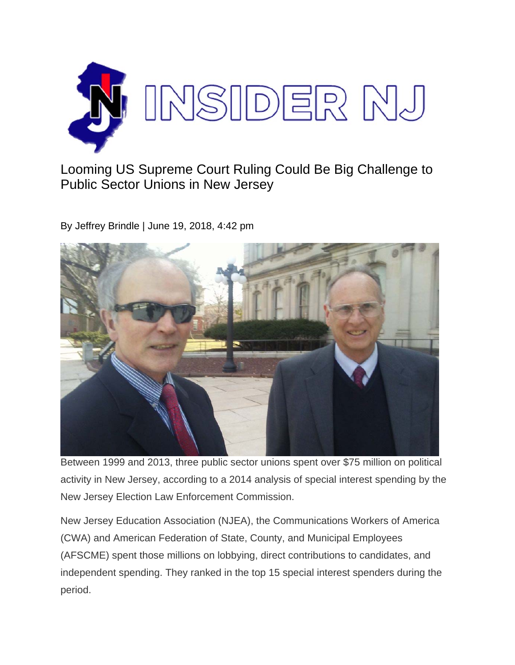

Looming US Supreme Court Ruling Could Be Big Challenge to Public Sector Unions in New Jersey

By Jeffrey Brindle | June 19, 2018, 4:42 pm



Between 1999 and 2013, three public sector unions spent over \$75 million on political activity in New Jersey, according to a 2014 analysis of special interest spending by the New Jersey Election Law Enforcement Commission.

New Jersey Education Association (NJEA), the Communications Workers of America (CWA) and American Federation of State, County, and Municipal Employees (AFSCME) spent those millions on lobbying, direct contributions to candidates, and independent spending. They ranked in the top 15 special interest spenders during the period.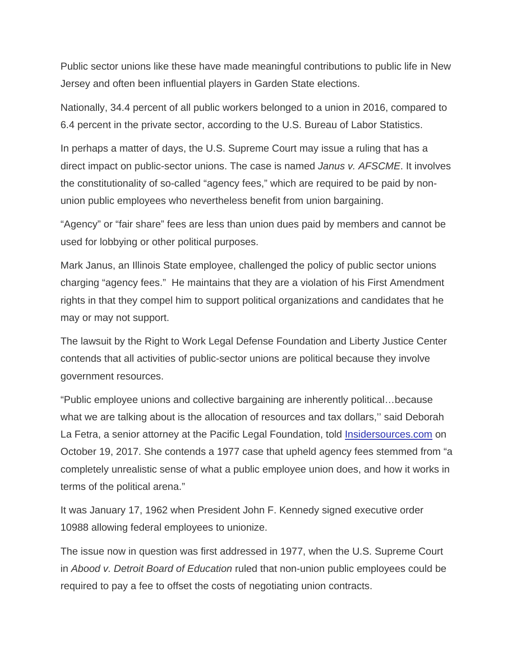Public sector unions like these have made meaningful contributions to public life in New Jersey and often been influential players in Garden State elections.

Nationally, 34.4 percent of all public workers belonged to a union in 2016, compared to 6.4 percent in the private sector, according to the U.S. Bureau of Labor Statistics.

In perhaps a matter of days, the U.S. Supreme Court may issue a ruling that has a direct impact on public-sector unions. The case is named *Janus v. AFSCME*. It involves the constitutionality of so-called "agency fees," which are required to be paid by nonunion public employees who nevertheless benefit from union bargaining.

"Agency" or "fair share" fees are less than union dues paid by members and cannot be used for lobbying or other political purposes.

Mark Janus, an Illinois State employee, challenged the policy of public sector unions charging "agency fees." He maintains that they are a violation of his First Amendment rights in that they compel him to support political organizations and candidates that he may or may not support.

The lawsuit by the Right to Work Legal Defense Foundation and Liberty Justice Center contends that all activities of public-sector unions are political because they involve government resources.

"Public employee unions and collective bargaining are inherently political…because what we are talking about is the allocation of resources and tax dollars,'' said Deborah La Fetra, a senior attorney at the Pacific Legal Foundation, told Insidersources.com on October 19, 2017. She contends a 1977 case that upheld agency fees stemmed from "a completely unrealistic sense of what a public employee union does, and how it works in terms of the political arena."

It was January 17, 1962 when President John F. Kennedy signed executive order 10988 allowing federal employees to unionize.

The issue now in question was first addressed in 1977, when the U.S. Supreme Court in *Abood v. Detroit Board of Education* ruled that non-union public employees could be required to pay a fee to offset the costs of negotiating union contracts.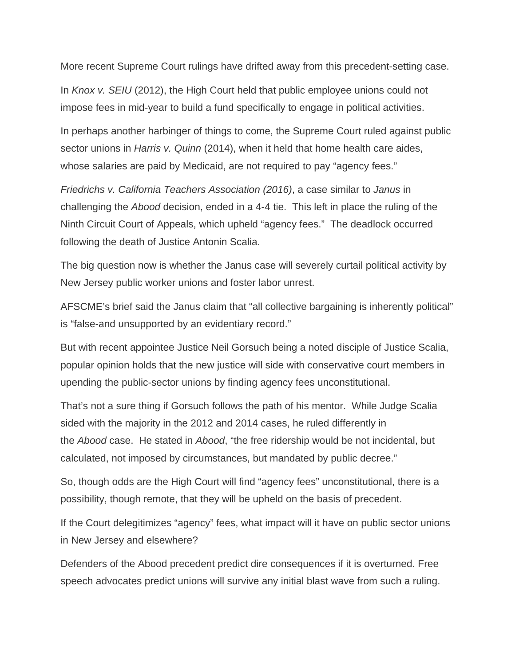More recent Supreme Court rulings have drifted away from this precedent-setting case.

In *Knox v. SEIU* (2012), the High Court held that public employee unions could not impose fees in mid-year to build a fund specifically to engage in political activities.

In perhaps another harbinger of things to come, the Supreme Court ruled against public sector unions in *Harris v. Quinn* (2014), when it held that home health care aides, whose salaries are paid by Medicaid, are not required to pay "agency fees."

*Friedrichs v. California Teachers Association (2016)*, a case similar to *Janus* in challenging the *Abood* decision, ended in a 4-4 tie. This left in place the ruling of the Ninth Circuit Court of Appeals, which upheld "agency fees." The deadlock occurred following the death of Justice Antonin Scalia.

The big question now is whether the Janus case will severely curtail political activity by New Jersey public worker unions and foster labor unrest.

AFSCME's brief said the Janus claim that "all collective bargaining is inherently political" is "false-and unsupported by an evidentiary record."

But with recent appointee Justice Neil Gorsuch being a noted disciple of Justice Scalia, popular opinion holds that the new justice will side with conservative court members in upending the public-sector unions by finding agency fees unconstitutional.

That's not a sure thing if Gorsuch follows the path of his mentor. While Judge Scalia sided with the majority in the 2012 and 2014 cases, he ruled differently in the *Abood* case. He stated in *Abood*, "the free ridership would be not incidental, but calculated, not imposed by circumstances, but mandated by public decree."

So, though odds are the High Court will find "agency fees" unconstitutional, there is a possibility, though remote, that they will be upheld on the basis of precedent.

If the Court delegitimizes "agency" fees, what impact will it have on public sector unions in New Jersey and elsewhere?

Defenders of the Abood precedent predict dire consequences if it is overturned. Free speech advocates predict unions will survive any initial blast wave from such a ruling.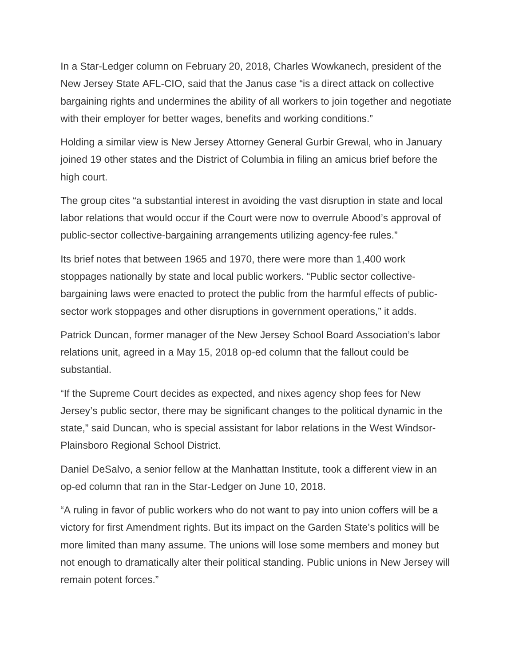In a Star-Ledger column on February 20, 2018, Charles Wowkanech, president of the New Jersey State AFL-CIO, said that the Janus case "is a direct attack on collective bargaining rights and undermines the ability of all workers to join together and negotiate with their employer for better wages, benefits and working conditions."

Holding a similar view is New Jersey Attorney General Gurbir Grewal, who in January joined 19 other states and the District of Columbia in filing an amicus brief before the high court.

The group cites "a substantial interest in avoiding the vast disruption in state and local labor relations that would occur if the Court were now to overrule Abood's approval of public-sector collective-bargaining arrangements utilizing agency-fee rules."

Its brief notes that between 1965 and 1970, there were more than 1,400 work stoppages nationally by state and local public workers. "Public sector collectivebargaining laws were enacted to protect the public from the harmful effects of publicsector work stoppages and other disruptions in government operations," it adds.

Patrick Duncan, former manager of the New Jersey School Board Association's labor relations unit, agreed in a May 15, 2018 op-ed column that the fallout could be substantial.

"If the Supreme Court decides as expected, and nixes agency shop fees for New Jersey's public sector, there may be significant changes to the political dynamic in the state," said Duncan, who is special assistant for labor relations in the West Windsor-Plainsboro Regional School District.

Daniel DeSalvo, a senior fellow at the Manhattan Institute, took a different view in an op-ed column that ran in the Star-Ledger on June 10, 2018.

"A ruling in favor of public workers who do not want to pay into union coffers will be a victory for first Amendment rights. But its impact on the Garden State's politics will be more limited than many assume. The unions will lose some members and money but not enough to dramatically alter their political standing. Public unions in New Jersey will remain potent forces."